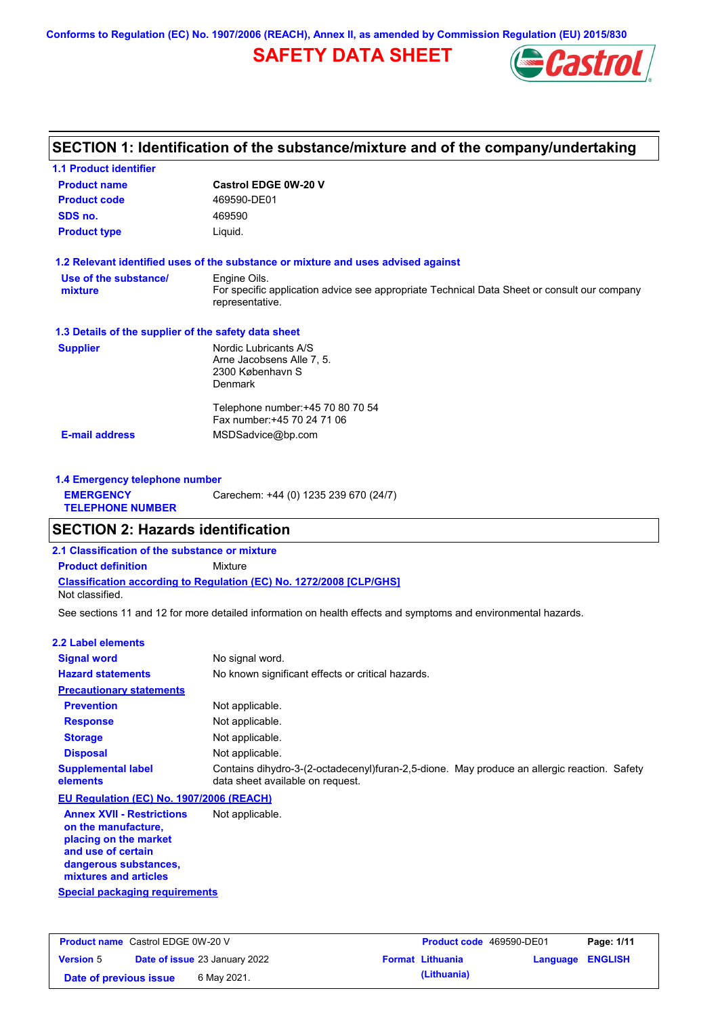**Conforms to Regulation (EC) No. 1907/2006 (REACH), Annex II, as amended by Commission Regulation (EU) 2015/830**

# **SAFETY DATA SHEET**



# **SECTION 1: Identification of the substance/mixture and of the company/undertaking**

| <b>Castrol EDGE 0W-20 V</b>                                                                                    |
|----------------------------------------------------------------------------------------------------------------|
| 469590-DE01                                                                                                    |
| 469590                                                                                                         |
| Liquid.                                                                                                        |
| 1.2 Relevant identified uses of the substance or mixture and uses advised against                              |
| Engine Oils.                                                                                                   |
| For specific application advice see appropriate Technical Data Sheet or consult our company<br>representative. |
| 1.3 Details of the supplier of the safety data sheet                                                           |
| Nordic Lubricants A/S                                                                                          |
| Arne Jacobsens Alle 7, 5.                                                                                      |
| 2300 København S                                                                                               |
| Denmark                                                                                                        |
| Telephone number: +45 70 80 70 54                                                                              |
| Fax number: +45 70 24 71 06                                                                                    |
| MSDSadvice@bp.com                                                                                              |
|                                                                                                                |

| 1.4 Emergency telephone number              |                                       |
|---------------------------------------------|---------------------------------------|
| <b>EMERGENCY</b><br><b>TELEPHONE NUMBER</b> | Carechem: +44 (0) 1235 239 670 (24/7) |

## **SECTION 2: Hazards identification**

**2.1 Classification of the substance or mixture**

**Classification according to Regulation (EC) No. 1272/2008 [CLP/GHS] Product definition** Mixture

Not classified.

See sections 11 and 12 for more detailed information on health effects and symptoms and environmental hazards.

### **2.2 Label elements**

| <b>Signal word</b>                                                                                                                                       | No signal word.                                                                                                                 |
|----------------------------------------------------------------------------------------------------------------------------------------------------------|---------------------------------------------------------------------------------------------------------------------------------|
| <b>Hazard statements</b>                                                                                                                                 | No known significant effects or critical hazards.                                                                               |
| <b>Precautionary statements</b>                                                                                                                          |                                                                                                                                 |
| <b>Prevention</b>                                                                                                                                        | Not applicable.                                                                                                                 |
| <b>Response</b>                                                                                                                                          | Not applicable.                                                                                                                 |
| <b>Storage</b>                                                                                                                                           | Not applicable.                                                                                                                 |
| <b>Disposal</b>                                                                                                                                          | Not applicable.                                                                                                                 |
| <b>Supplemental label</b><br>elements                                                                                                                    | Contains dihydro-3-(2-octadecenyl)furan-2,5-dione. May produce an allergic reaction. Safety<br>data sheet available on request. |
| EU Regulation (EC) No. 1907/2006 (REACH)                                                                                                                 |                                                                                                                                 |
| <b>Annex XVII - Restrictions</b><br>on the manufacture.<br>placing on the market<br>and use of certain<br>dangerous substances,<br>mixtures and articles | Not applicable.                                                                                                                 |

**Special packaging requirements**

| <b>Product name</b> Castrol EDGE 0W-20 V |                                      | <b>Product code</b> 469590-DE01 |                         | Page: 1/11 |
|------------------------------------------|--------------------------------------|---------------------------------|-------------------------|------------|
| <b>Version 5</b>                         | <b>Date of issue 23 January 2022</b> | <b>Format Lithuania</b>         | <b>Language ENGLISH</b> |            |
| Date of previous issue                   | 6 May 2021.                          | (Lithuania)                     |                         |            |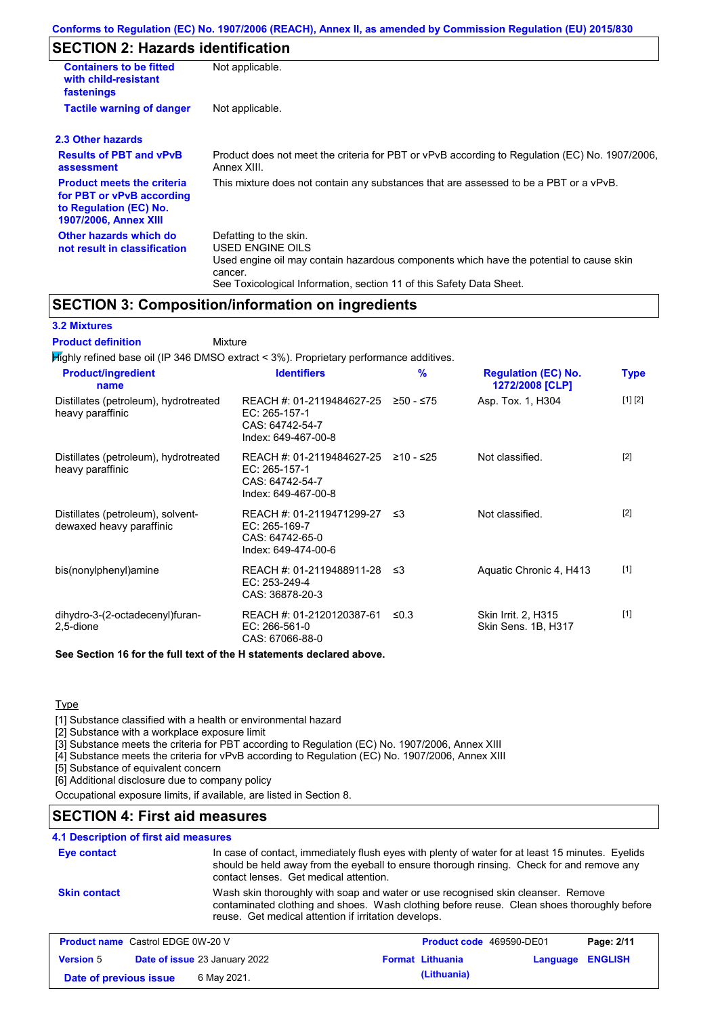# **SECTION 2: Hazards identification**

| <b>Containers to be fitted</b><br>with child-resistant<br>fastenings                                              | Not applicable.                                                                                                                                                                                                          |
|-------------------------------------------------------------------------------------------------------------------|--------------------------------------------------------------------------------------------------------------------------------------------------------------------------------------------------------------------------|
| <b>Tactile warning of danger</b>                                                                                  | Not applicable.                                                                                                                                                                                                          |
| 2.3 Other hazards                                                                                                 |                                                                                                                                                                                                                          |
| <b>Results of PBT and vPvB</b><br>assessment                                                                      | Product does not meet the criteria for PBT or vPvB according to Regulation (EC) No. 1907/2006,<br>Annex XIII.                                                                                                            |
| <b>Product meets the criteria</b><br>for PBT or vPvB according<br>to Regulation (EC) No.<br>1907/2006, Annex XIII | This mixture does not contain any substances that are assessed to be a PBT or a vPvB.                                                                                                                                    |
| Other hazards which do<br>not result in classification                                                            | Defatting to the skin.<br>USED ENGINE OILS<br>Used engine oil may contain hazardous components which have the potential to cause skin<br>cancer.<br>See Toxicological Information, section 11 of this Safety Data Sheet. |

## **SECTION 3: Composition/information on ingredients**

### **3.2 Mixtures**

Mixture **Product definition**

| <b>Product/ingredient</b><br>name                             | <b>Identifiers</b>                                                                      | %         | <b>Regulation (EC) No.</b><br>1272/2008 [CLP] | <b>Type</b> |
|---------------------------------------------------------------|-----------------------------------------------------------------------------------------|-----------|-----------------------------------------------|-------------|
| Distillates (petroleum), hydrotreated<br>heavy paraffinic     | REACH #: 01-2119484627-25<br>EC: 265-157-1<br>CAS: 64742-54-7<br>Index: 649-467-00-8    | ≥50 - ≤75 | Asp. Tox. 1, H304                             | [1] [2]     |
| Distillates (petroleum), hydrotreated<br>heavy paraffinic     | REACH #: 01-2119484627-25<br>EC: 265-157-1<br>CAS: 64742-54-7<br>Index: 649-467-00-8    | ≥10 - ≤25 | Not classified.                               | $[2]$       |
| Distillates (petroleum), solvent-<br>dewaxed heavy paraffinic | REACH #: 01-2119471299-27 ≤3<br>EC: 265-169-7<br>CAS: 64742-65-0<br>Index: 649-474-00-6 |           | Not classified.                               | $[2]$       |
| bis(nonylphenyl)amine                                         | REACH #: 01-2119488911-28 ≤3<br>EC: 253-249-4<br>CAS: 36878-20-3                        |           | Aquatic Chronic 4, H413                       | $[1]$       |
| dihydro-3-(2-octadecenyl)furan-<br>2,5-dione                  | REACH #: 01-2120120387-61<br>EC: 266-561-0<br>CAS: 67066-88-0                           | ≤0.3      | Skin Irrit. 2, H315<br>Skin Sens. 1B, H317    | $[1]$       |

**Type** 

[1] Substance classified with a health or environmental hazard

[2] Substance with a workplace exposure limit

[3] Substance meets the criteria for PBT according to Regulation (EC) No. 1907/2006, Annex XIII

[4] Substance meets the criteria for vPvB according to Regulation (EC) No. 1907/2006, Annex XIII

[5] Substance of equivalent concern

[6] Additional disclosure due to company policy

Occupational exposure limits, if available, are listed in Section 8.

## **SECTION 4: First aid measures**

### **4.1 Description of first aid measures**

| Eye contact                              | In case of contact, immediately flush eyes with plenty of water for at least 15 minutes. Eyelids<br>should be held away from the eyeball to ensure thorough rinsing. Check for and remove any<br>contact lenses. Get medical attention. |                          |            |
|------------------------------------------|-----------------------------------------------------------------------------------------------------------------------------------------------------------------------------------------------------------------------------------------|--------------------------|------------|
| <b>Skin contact</b>                      | Wash skin thoroughly with soap and water or use recognised skin cleanser. Remove<br>contaminated clothing and shoes. Wash clothing before reuse. Clean shoes thoroughly before<br>reuse. Get medical attention if irritation develops.  |                          |            |
| <b>Product name</b> Castrol EDGE 0W-20 V |                                                                                                                                                                                                                                         | Product code 469590-DE01 | Page: 2/11 |

|                        |                                      |                         |                         | . |
|------------------------|--------------------------------------|-------------------------|-------------------------|---|
| <b>Version 5</b>       | <b>Date of issue 23 January 2022</b> | <b>Format Lithuania</b> | <b>Language ENGLISH</b> |   |
| Date of previous issue | 6 May 2021.                          | (Lithuania)             |                         |   |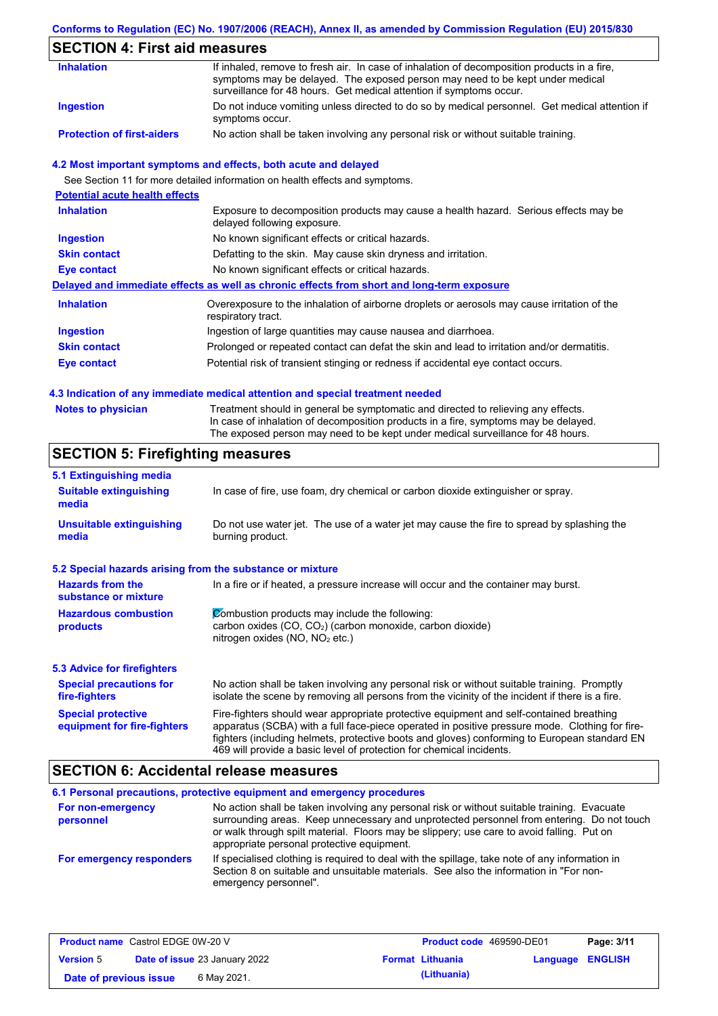## **Conforms to Regulation (EC) No. 1907/2006 (REACH), Annex II, as amended by Commission Regulation (EU) 2015/830**

# **SECTION 4: First aid measures**

| <b>Inhalation</b>                 | If inhaled, remove to fresh air. In case of inhalation of decomposition products in a fire,<br>symptoms may be delayed. The exposed person may need to be kept under medical<br>surveillance for 48 hours. Get medical attention if symptoms occur. |
|-----------------------------------|-----------------------------------------------------------------------------------------------------------------------------------------------------------------------------------------------------------------------------------------------------|
| Ingestion                         | Do not induce vomiting unless directed to do so by medical personnel. Get medical attention if<br>symptoms occur.                                                                                                                                   |
| <b>Protection of first-aiders</b> | No action shall be taken involving any personal risk or without suitable training.                                                                                                                                                                  |

### **4.2 Most important symptoms and effects, both acute and delayed**

See Section 11 for more detailed information on health effects and symptoms.

| <b>Potential acute health effects</b> |                                                                                                                     |
|---------------------------------------|---------------------------------------------------------------------------------------------------------------------|
| <b>Inhalation</b>                     | Exposure to decomposition products may cause a health hazard. Serious effects may be<br>delayed following exposure. |
| <b>Ingestion</b>                      | No known significant effects or critical hazards.                                                                   |
| <b>Skin contact</b>                   | Defatting to the skin. May cause skin dryness and irritation.                                                       |
| Eye contact                           | No known significant effects or critical hazards.                                                                   |
|                                       | Delayed and immediate effects as well as chronic effects from short and long-term exposure                          |
| <b>Inhalation</b>                     | Overexposure to the inhalation of airborne droplets or aerosols may cause irritation of the<br>respiratory tract.   |
| <b>Ingestion</b>                      | Ingestion of large quantities may cause nausea and diarrhoea.                                                       |
| <b>Skin contact</b>                   | Prolonged or repeated contact can defat the skin and lead to irritation and/or dermatitis.                          |
| Eye contact                           | Potential risk of transient stinging or redness if accidental eye contact occurs.                                   |
|                                       |                                                                                                                     |

### **4.3 Indication of any immediate medical attention and special treatment needed**

| <b>Notes to physician</b> | Treatment should in general be symptomatic and directed to relieving any effects.   |
|---------------------------|-------------------------------------------------------------------------------------|
|                           | In case of inhalation of decomposition products in a fire, symptoms may be delayed. |
|                           | The exposed person may need to be kept under medical surveillance for 48 hours.     |

# **SECTION 5: Firefighting measures**

| 5.1 Extinguishing media                                                                                                                                                                                           |                                                                                                                                                                                                                                                                                                                                                                   |  |  |  |
|-------------------------------------------------------------------------------------------------------------------------------------------------------------------------------------------------------------------|-------------------------------------------------------------------------------------------------------------------------------------------------------------------------------------------------------------------------------------------------------------------------------------------------------------------------------------------------------------------|--|--|--|
| <b>Suitable extinguishing</b><br>media                                                                                                                                                                            | In case of fire, use foam, dry chemical or carbon dioxide extinguisher or spray.                                                                                                                                                                                                                                                                                  |  |  |  |
| <b>Unsuitable extinguishing</b><br>media                                                                                                                                                                          | Do not use water jet. The use of a water jet may cause the fire to spread by splashing the<br>burning product.                                                                                                                                                                                                                                                    |  |  |  |
| 5.2 Special hazards arising from the substance or mixture                                                                                                                                                         |                                                                                                                                                                                                                                                                                                                                                                   |  |  |  |
| <b>Hazards from the</b><br>substance or mixture                                                                                                                                                                   | In a fire or if heated, a pressure increase will occur and the container may burst.                                                                                                                                                                                                                                                                               |  |  |  |
| Combustion products may include the following:<br><b>Hazardous combustion</b><br>carbon oxides (CO, CO <sub>2</sub> ) (carbon monoxide, carbon dioxide)<br>products<br>nitrogen oxides (NO, NO <sub>2</sub> etc.) |                                                                                                                                                                                                                                                                                                                                                                   |  |  |  |
| <b>5.3 Advice for firefighters</b>                                                                                                                                                                                |                                                                                                                                                                                                                                                                                                                                                                   |  |  |  |
| <b>Special precautions for</b><br>fire-fighters                                                                                                                                                                   | No action shall be taken involving any personal risk or without suitable training. Promptly<br>isolate the scene by removing all persons from the vicinity of the incident if there is a fire.                                                                                                                                                                    |  |  |  |
| <b>Special protective</b><br>equipment for fire-fighters                                                                                                                                                          | Fire-fighters should wear appropriate protective equipment and self-contained breathing<br>apparatus (SCBA) with a full face-piece operated in positive pressure mode. Clothing for fire-<br>fighters (including helmets, protective boots and gloves) conforming to European standard EN<br>469 will provide a basic level of protection for chemical incidents. |  |  |  |

## **SECTION 6: Accidental release measures**

|                                | 6.1 Personal precautions, protective equipment and emergency procedures                                                                                                                                                                                                                                                             |
|--------------------------------|-------------------------------------------------------------------------------------------------------------------------------------------------------------------------------------------------------------------------------------------------------------------------------------------------------------------------------------|
| For non-emergency<br>personnel | No action shall be taken involving any personal risk or without suitable training. Evacuate<br>surrounding areas. Keep unnecessary and unprotected personnel from entering. Do not touch<br>or walk through spilt material. Floors may be slippery; use care to avoid falling. Put on<br>appropriate personal protective equipment. |
| For emergency responders       | If specialised clothing is required to deal with the spillage, take note of any information in<br>Section 8 on suitable and unsuitable materials. See also the information in "For non-<br>emergency personnel".                                                                                                                    |

| <b>Product name</b> Castrol EDGE 0W-20 V |  |                                      | <b>Product code</b> 469590-DE01 |                         | Page: 3/11       |  |
|------------------------------------------|--|--------------------------------------|---------------------------------|-------------------------|------------------|--|
| <b>Version 5</b>                         |  | <b>Date of issue 23 January 2022</b> |                                 | <b>Format Lithuania</b> | Language ENGLISH |  |
| Date of previous issue                   |  | 6 May 2021.                          |                                 | (Lithuania)             |                  |  |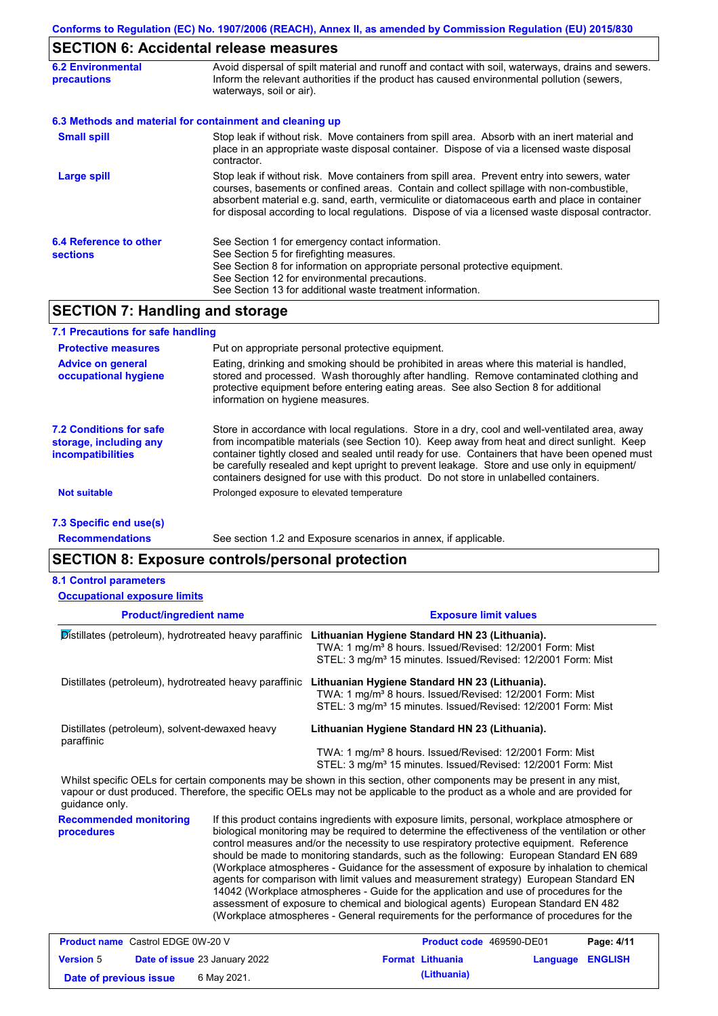# **SECTION 6: Accidental release measures**

| <b>6.2 Environmental</b><br>precautions   | Avoid dispersal of spilt material and runoff and contact with soil, waterways, drains and sewers.<br>Inform the relevant authorities if the product has caused environmental pollution (sewers,<br>waterways, soil or air).                                                                                                                                                                    |
|-------------------------------------------|------------------------------------------------------------------------------------------------------------------------------------------------------------------------------------------------------------------------------------------------------------------------------------------------------------------------------------------------------------------------------------------------|
|                                           | 6.3 Methods and material for containment and cleaning up                                                                                                                                                                                                                                                                                                                                       |
| <b>Small spill</b>                        | Stop leak if without risk. Move containers from spill area. Absorb with an inert material and<br>place in an appropriate waste disposal container. Dispose of via a licensed waste disposal<br>contractor.                                                                                                                                                                                     |
| <b>Large spill</b>                        | Stop leak if without risk. Move containers from spill area. Prevent entry into sewers, water<br>courses, basements or confined areas. Contain and collect spillage with non-combustible,<br>absorbent material e.g. sand, earth, vermiculite or diatomaceous earth and place in container<br>for disposal according to local regulations. Dispose of via a licensed waste disposal contractor. |
| 6.4 Reference to other<br><b>sections</b> | See Section 1 for emergency contact information.<br>See Section 5 for firefighting measures.<br>See Section 8 for information on appropriate personal protective equipment.<br>See Section 12 for environmental precautions.<br>See Section 13 for additional waste treatment information.                                                                                                     |

# **SECTION 7: Handling and storage**

| <b>Protective measures</b>                                                           | Put on appropriate personal protective equipment.                                                                                                                                                                                                                                                                                                                                                                                                                                        |
|--------------------------------------------------------------------------------------|------------------------------------------------------------------------------------------------------------------------------------------------------------------------------------------------------------------------------------------------------------------------------------------------------------------------------------------------------------------------------------------------------------------------------------------------------------------------------------------|
| <b>Advice on general</b><br>occupational hygiene                                     | Eating, drinking and smoking should be prohibited in areas where this material is handled,<br>stored and processed. Wash thoroughly after handling. Remove contaminated clothing and<br>protective equipment before entering eating areas. See also Section 8 for additional<br>information on hygiene measures.                                                                                                                                                                         |
| <b>7.2 Conditions for safe</b><br>storage, including any<br><i>incompatibilities</i> | Store in accordance with local regulations. Store in a dry, cool and well-ventilated area, away<br>from incompatible materials (see Section 10). Keep away from heat and direct sunlight. Keep<br>container tightly closed and sealed until ready for use. Containers that have been opened must<br>be carefully resealed and kept upright to prevent leakage. Store and use only in equipment/<br>containers designed for use with this product. Do not store in unlabelled containers. |
| <b>Not suitable</b>                                                                  | Prolonged exposure to elevated temperature                                                                                                                                                                                                                                                                                                                                                                                                                                               |

**Recommendations**

See section 1.2 and Exposure scenarios in annex, if applicable.

## **SECTION 8: Exposure controls/personal protection**

|  | <b>8.1 Control parameters</b> |
|--|-------------------------------|
|--|-------------------------------|

| <b>Occupational exposure limits</b>                          |                                                                                                                                                                                                                                                                                                                                                                                                                                                                                                                                                                                                                                                                                                                                                                                                                                                            |
|--------------------------------------------------------------|------------------------------------------------------------------------------------------------------------------------------------------------------------------------------------------------------------------------------------------------------------------------------------------------------------------------------------------------------------------------------------------------------------------------------------------------------------------------------------------------------------------------------------------------------------------------------------------------------------------------------------------------------------------------------------------------------------------------------------------------------------------------------------------------------------------------------------------------------------|
| <b>Product/ingredient name</b>                               | <b>Exposure limit values</b>                                                                                                                                                                                                                                                                                                                                                                                                                                                                                                                                                                                                                                                                                                                                                                                                                               |
| Distillates (petroleum), hydrotreated heavy paraffinic       | Lithuanian Hygiene Standard HN 23 (Lithuania).<br>TWA: 1 mg/m <sup>3</sup> 8 hours. Issued/Revised: 12/2001 Form: Mist<br>STEL: 3 mg/m <sup>3</sup> 15 minutes. Issued/Revised: 12/2001 Form: Mist                                                                                                                                                                                                                                                                                                                                                                                                                                                                                                                                                                                                                                                         |
| Distillates (petroleum), hydrotreated heavy paraffinic       | Lithuanian Hygiene Standard HN 23 (Lithuania).<br>TWA: 1 mg/m <sup>3</sup> 8 hours. Issued/Revised: 12/2001 Form: Mist<br>STEL: 3 mg/m <sup>3</sup> 15 minutes. Issued/Revised: 12/2001 Form: Mist                                                                                                                                                                                                                                                                                                                                                                                                                                                                                                                                                                                                                                                         |
| Distillates (petroleum), solvent-dewaxed heavy<br>paraffinic | Lithuanian Hygiene Standard HN 23 (Lithuania).<br>TWA: 1 mg/m <sup>3</sup> 8 hours. Issued/Revised: 12/2001 Form: Mist<br>STEL: 3 mg/m <sup>3</sup> 15 minutes. Issued/Revised: 12/2001 Form: Mist                                                                                                                                                                                                                                                                                                                                                                                                                                                                                                                                                                                                                                                         |
| guidance only.                                               | Whilst specific OELs for certain components may be shown in this section, other components may be present in any mist,<br>vapour or dust produced. Therefore, the specific OELs may not be applicable to the product as a whole and are provided for                                                                                                                                                                                                                                                                                                                                                                                                                                                                                                                                                                                                       |
| <b>Recommended monitoring</b><br>procedures                  | If this product contains ingredients with exposure limits, personal, workplace atmosphere or<br>biological monitoring may be required to determine the effectiveness of the ventilation or other<br>control measures and/or the necessity to use respiratory protective equipment. Reference<br>should be made to monitoring standards, such as the following: European Standard EN 689<br>(Workplace atmospheres - Guidance for the assessment of exposure by inhalation to chemical<br>agents for comparison with limit values and measurement strategy) European Standard EN<br>14042 (Workplace atmospheres - Guide for the application and use of procedures for the<br>assessment of exposure to chemical and biological agents) European Standard EN 482<br>(Workplace atmospheres - General requirements for the performance of procedures for the |

| <b>Product name</b> Castrol EDGE 0W-20 V |  | <b>Product code</b> 469590-DE01      |  | Page: 4/11              |                         |  |
|------------------------------------------|--|--------------------------------------|--|-------------------------|-------------------------|--|
| <b>Version 5</b>                         |  | <b>Date of issue 23 January 2022</b> |  | <b>Format Lithuania</b> | <b>Language ENGLISH</b> |  |
| Date of previous issue                   |  | 6 May 2021.                          |  | (Lithuania)             |                         |  |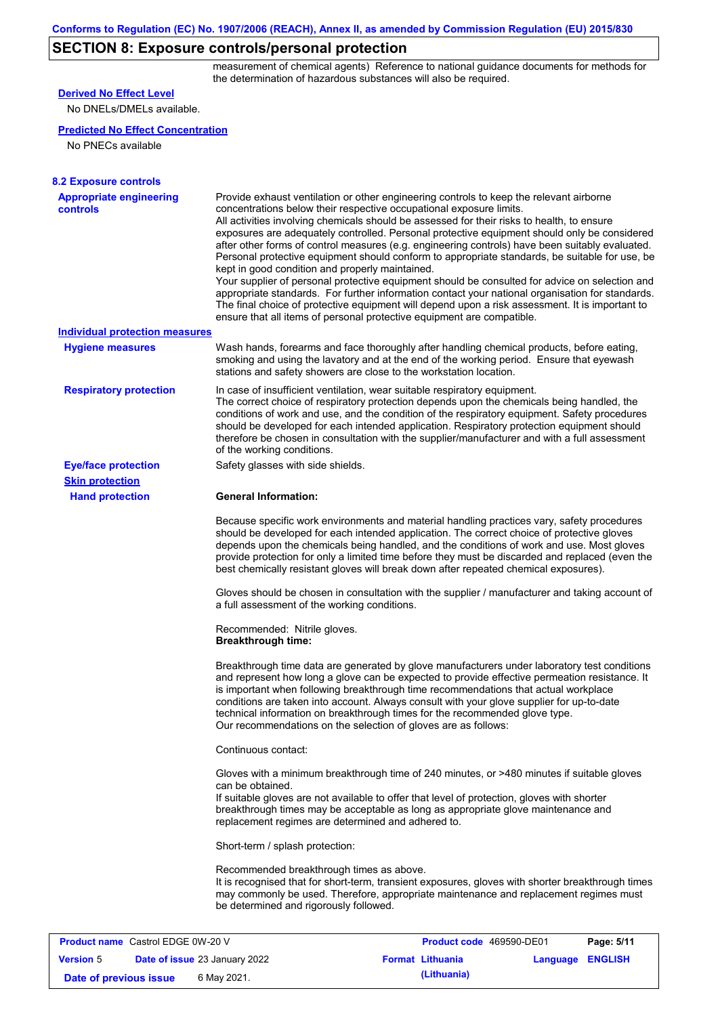# **SECTION 8: Exposure controls/personal protection**

measurement of chemical agents) Reference to national guidance documents for methods for the determination of hazardous substances will also be required.

| <b>Derived No Effect Level</b>                    |                                                                                                                                                                                                                                                                                                                                                                                                                                                                                                                                                                                                                                                                                                                                                                                                                                                                                                                                                                                                         |                          |                  |  |  |  |  |
|---------------------------------------------------|---------------------------------------------------------------------------------------------------------------------------------------------------------------------------------------------------------------------------------------------------------------------------------------------------------------------------------------------------------------------------------------------------------------------------------------------------------------------------------------------------------------------------------------------------------------------------------------------------------------------------------------------------------------------------------------------------------------------------------------------------------------------------------------------------------------------------------------------------------------------------------------------------------------------------------------------------------------------------------------------------------|--------------------------|------------------|--|--|--|--|
| No DNELs/DMELs available.                         |                                                                                                                                                                                                                                                                                                                                                                                                                                                                                                                                                                                                                                                                                                                                                                                                                                                                                                                                                                                                         |                          |                  |  |  |  |  |
| <b>Predicted No Effect Concentration</b>          |                                                                                                                                                                                                                                                                                                                                                                                                                                                                                                                                                                                                                                                                                                                                                                                                                                                                                                                                                                                                         |                          |                  |  |  |  |  |
| No PNECs available                                |                                                                                                                                                                                                                                                                                                                                                                                                                                                                                                                                                                                                                                                                                                                                                                                                                                                                                                                                                                                                         |                          |                  |  |  |  |  |
|                                                   |                                                                                                                                                                                                                                                                                                                                                                                                                                                                                                                                                                                                                                                                                                                                                                                                                                                                                                                                                                                                         |                          |                  |  |  |  |  |
| <b>8.2 Exposure controls</b>                      |                                                                                                                                                                                                                                                                                                                                                                                                                                                                                                                                                                                                                                                                                                                                                                                                                                                                                                                                                                                                         |                          |                  |  |  |  |  |
| <b>Appropriate engineering</b><br>controls        | Provide exhaust ventilation or other engineering controls to keep the relevant airborne<br>concentrations below their respective occupational exposure limits.<br>All activities involving chemicals should be assessed for their risks to health, to ensure<br>exposures are adequately controlled. Personal protective equipment should only be considered<br>after other forms of control measures (e.g. engineering controls) have been suitably evaluated.<br>Personal protective equipment should conform to appropriate standards, be suitable for use, be<br>kept in good condition and properly maintained.<br>Your supplier of personal protective equipment should be consulted for advice on selection and<br>appropriate standards. For further information contact your national organisation for standards.<br>The final choice of protective equipment will depend upon a risk assessment. It is important to<br>ensure that all items of personal protective equipment are compatible. |                          |                  |  |  |  |  |
| <b>Individual protection measures</b>             |                                                                                                                                                                                                                                                                                                                                                                                                                                                                                                                                                                                                                                                                                                                                                                                                                                                                                                                                                                                                         |                          |                  |  |  |  |  |
| <b>Hygiene measures</b>                           | Wash hands, forearms and face thoroughly after handling chemical products, before eating,<br>smoking and using the lavatory and at the end of the working period. Ensure that eyewash<br>stations and safety showers are close to the workstation location.                                                                                                                                                                                                                                                                                                                                                                                                                                                                                                                                                                                                                                                                                                                                             |                          |                  |  |  |  |  |
| <b>Respiratory protection</b>                     | In case of insufficient ventilation, wear suitable respiratory equipment.<br>The correct choice of respiratory protection depends upon the chemicals being handled, the<br>conditions of work and use, and the condition of the respiratory equipment. Safety procedures<br>should be developed for each intended application. Respiratory protection equipment should<br>therefore be chosen in consultation with the supplier/manufacturer and with a full assessment<br>of the working conditions.                                                                                                                                                                                                                                                                                                                                                                                                                                                                                                   |                          |                  |  |  |  |  |
| <b>Eye/face protection</b>                        | Safety glasses with side shields.                                                                                                                                                                                                                                                                                                                                                                                                                                                                                                                                                                                                                                                                                                                                                                                                                                                                                                                                                                       |                          |                  |  |  |  |  |
| <b>Skin protection</b>                            |                                                                                                                                                                                                                                                                                                                                                                                                                                                                                                                                                                                                                                                                                                                                                                                                                                                                                                                                                                                                         |                          |                  |  |  |  |  |
| <b>Hand protection</b>                            | <b>General Information:</b>                                                                                                                                                                                                                                                                                                                                                                                                                                                                                                                                                                                                                                                                                                                                                                                                                                                                                                                                                                             |                          |                  |  |  |  |  |
|                                                   | Because specific work environments and material handling practices vary, safety procedures<br>should be developed for each intended application. The correct choice of protective gloves<br>depends upon the chemicals being handled, and the conditions of work and use. Most gloves<br>provide protection for only a limited time before they must be discarded and replaced (even the<br>best chemically resistant gloves will break down after repeated chemical exposures).                                                                                                                                                                                                                                                                                                                                                                                                                                                                                                                        |                          |                  |  |  |  |  |
|                                                   | Gloves should be chosen in consultation with the supplier / manufacturer and taking account of<br>a full assessment of the working conditions.                                                                                                                                                                                                                                                                                                                                                                                                                                                                                                                                                                                                                                                                                                                                                                                                                                                          |                          |                  |  |  |  |  |
|                                                   | Recommended: Nitrile gloves.<br><b>Breakthrough time:</b>                                                                                                                                                                                                                                                                                                                                                                                                                                                                                                                                                                                                                                                                                                                                                                                                                                                                                                                                               |                          |                  |  |  |  |  |
|                                                   | Breakthrough time data are generated by glove manufacturers under laboratory test conditions<br>and represent how long a glove can be expected to provide effective permeation resistance. It<br>is important when following breakthrough time recommendations that actual workplace<br>conditions are taken into account. Always consult with your glove supplier for up-to-date<br>technical information on breakthrough times for the recommended glove type.<br>Our recommendations on the selection of gloves are as follows:                                                                                                                                                                                                                                                                                                                                                                                                                                                                      |                          |                  |  |  |  |  |
|                                                   | Continuous contact:                                                                                                                                                                                                                                                                                                                                                                                                                                                                                                                                                                                                                                                                                                                                                                                                                                                                                                                                                                                     |                          |                  |  |  |  |  |
|                                                   | Gloves with a minimum breakthrough time of 240 minutes, or >480 minutes if suitable gloves<br>can be obtained.<br>If suitable gloves are not available to offer that level of protection, gloves with shorter<br>breakthrough times may be acceptable as long as appropriate glove maintenance and<br>replacement regimes are determined and adhered to.                                                                                                                                                                                                                                                                                                                                                                                                                                                                                                                                                                                                                                                |                          |                  |  |  |  |  |
|                                                   | Short-term / splash protection:                                                                                                                                                                                                                                                                                                                                                                                                                                                                                                                                                                                                                                                                                                                                                                                                                                                                                                                                                                         |                          |                  |  |  |  |  |
|                                                   | Recommended breakthrough times as above.<br>It is recognised that for short-term, transient exposures, gloves with shorter breakthrough times<br>may commonly be used. Therefore, appropriate maintenance and replacement regimes must<br>be determined and rigorously followed.                                                                                                                                                                                                                                                                                                                                                                                                                                                                                                                                                                                                                                                                                                                        |                          |                  |  |  |  |  |
|                                                   |                                                                                                                                                                                                                                                                                                                                                                                                                                                                                                                                                                                                                                                                                                                                                                                                                                                                                                                                                                                                         |                          |                  |  |  |  |  |
| <b>Product name</b> Castrol EDGE 0W-20 V          |                                                                                                                                                                                                                                                                                                                                                                                                                                                                                                                                                                                                                                                                                                                                                                                                                                                                                                                                                                                                         | Product code 469590-DE01 | Page: 5/11       |  |  |  |  |
| <b>Version 5</b><br>Date of issue 23 January 2022 |                                                                                                                                                                                                                                                                                                                                                                                                                                                                                                                                                                                                                                                                                                                                                                                                                                                                                                                                                                                                         | <b>Format Lithuania</b>  | Language ENGLISH |  |  |  |  |

**Date of previous issue** 6 May 2021.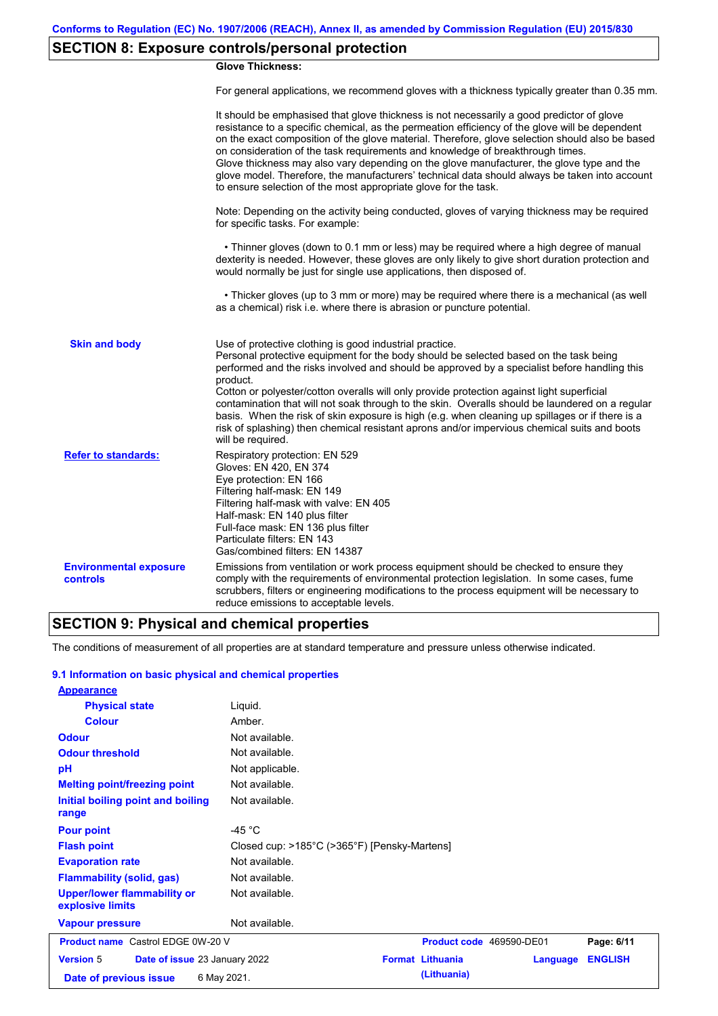# **SECTION 8: Exposure controls/personal protection**

### **Glove Thickness:**

For general applications, we recommend gloves with a thickness typically greater than 0.35 mm.

|                                           | It should be emphasised that glove thickness is not necessarily a good predictor of glove<br>resistance to a specific chemical, as the permeation efficiency of the glove will be dependent<br>on the exact composition of the glove material. Therefore, glove selection should also be based<br>on consideration of the task requirements and knowledge of breakthrough times.<br>Glove thickness may also vary depending on the glove manufacturer, the glove type and the<br>glove model. Therefore, the manufacturers' technical data should always be taken into account<br>to ensure selection of the most appropriate glove for the task.                                     |
|-------------------------------------------|---------------------------------------------------------------------------------------------------------------------------------------------------------------------------------------------------------------------------------------------------------------------------------------------------------------------------------------------------------------------------------------------------------------------------------------------------------------------------------------------------------------------------------------------------------------------------------------------------------------------------------------------------------------------------------------|
|                                           | Note: Depending on the activity being conducted, gloves of varying thickness may be required<br>for specific tasks. For example:                                                                                                                                                                                                                                                                                                                                                                                                                                                                                                                                                      |
|                                           | • Thinner gloves (down to 0.1 mm or less) may be required where a high degree of manual<br>dexterity is needed. However, these gloves are only likely to give short duration protection and<br>would normally be just for single use applications, then disposed of.                                                                                                                                                                                                                                                                                                                                                                                                                  |
|                                           | • Thicker gloves (up to 3 mm or more) may be required where there is a mechanical (as well<br>as a chemical) risk i.e. where there is abrasion or puncture potential.                                                                                                                                                                                                                                                                                                                                                                                                                                                                                                                 |
| <b>Skin and body</b>                      | Use of protective clothing is good industrial practice.<br>Personal protective equipment for the body should be selected based on the task being<br>performed and the risks involved and should be approved by a specialist before handling this<br>product.<br>Cotton or polyester/cotton overalls will only provide protection against light superficial<br>contamination that will not soak through to the skin. Overalls should be laundered on a regular<br>basis. When the risk of skin exposure is high (e.g. when cleaning up spillages or if there is a<br>risk of splashing) then chemical resistant aprons and/or impervious chemical suits and boots<br>will be required. |
| <b>Refer to standards:</b>                | Respiratory protection: EN 529<br>Gloves: EN 420, EN 374<br>Eye protection: EN 166<br>Filtering half-mask: EN 149<br>Filtering half-mask with valve: EN 405<br>Half-mask: EN 140 plus filter<br>Full-face mask: EN 136 plus filter<br>Particulate filters: EN 143<br>Gas/combined filters: EN 14387                                                                                                                                                                                                                                                                                                                                                                                   |
| <b>Environmental exposure</b><br>controls | Emissions from ventilation or work process equipment should be checked to ensure they<br>comply with the requirements of environmental protection legislation. In some cases, fume<br>scrubbers, filters or engineering modifications to the process equipment will be necessary to<br>reduce emissions to acceptable levels.                                                                                                                                                                                                                                                                                                                                                         |

## **SECTION 9: Physical and chemical properties**

The conditions of measurement of all properties are at standard temperature and pressure unless otherwise indicated.

### **9.1 Information on basic physical and chemical properties**

| <b>Appearance</b>                                      |                                              |                          |          |                |
|--------------------------------------------------------|----------------------------------------------|--------------------------|----------|----------------|
| <b>Physical state</b>                                  | Liquid.                                      |                          |          |                |
| <b>Colour</b>                                          | Amber.                                       |                          |          |                |
| <b>Odour</b>                                           | Not available.                               |                          |          |                |
| <b>Odour threshold</b>                                 | Not available.                               |                          |          |                |
| pH                                                     | Not applicable.                              |                          |          |                |
| <b>Melting point/freezing point</b>                    | Not available.                               |                          |          |                |
| Initial boiling point and boiling<br>range             | Not available.                               |                          |          |                |
| <b>Pour point</b>                                      | -45 $^{\circ}$ C                             |                          |          |                |
| <b>Flash point</b>                                     | Closed cup: >185°C (>365°F) [Pensky-Martens] |                          |          |                |
| <b>Evaporation rate</b>                                | Not available.                               |                          |          |                |
| <b>Flammability (solid, gas)</b>                       | Not available.                               |                          |          |                |
| <b>Upper/lower flammability or</b><br>explosive limits | Not available.                               |                          |          |                |
| <b>Vapour pressure</b>                                 | Not available.                               |                          |          |                |
| <b>Product name</b> Castrol EDGE 0W-20 V               |                                              | Product code 469590-DE01 |          | Page: 6/11     |
| <b>Version 5</b><br>Date of issue 23 January 2022      |                                              | <b>Format Lithuania</b>  | Language | <b>ENGLISH</b> |
| Date of previous issue                                 | 6 May 2021.                                  | (Lithuania)              |          |                |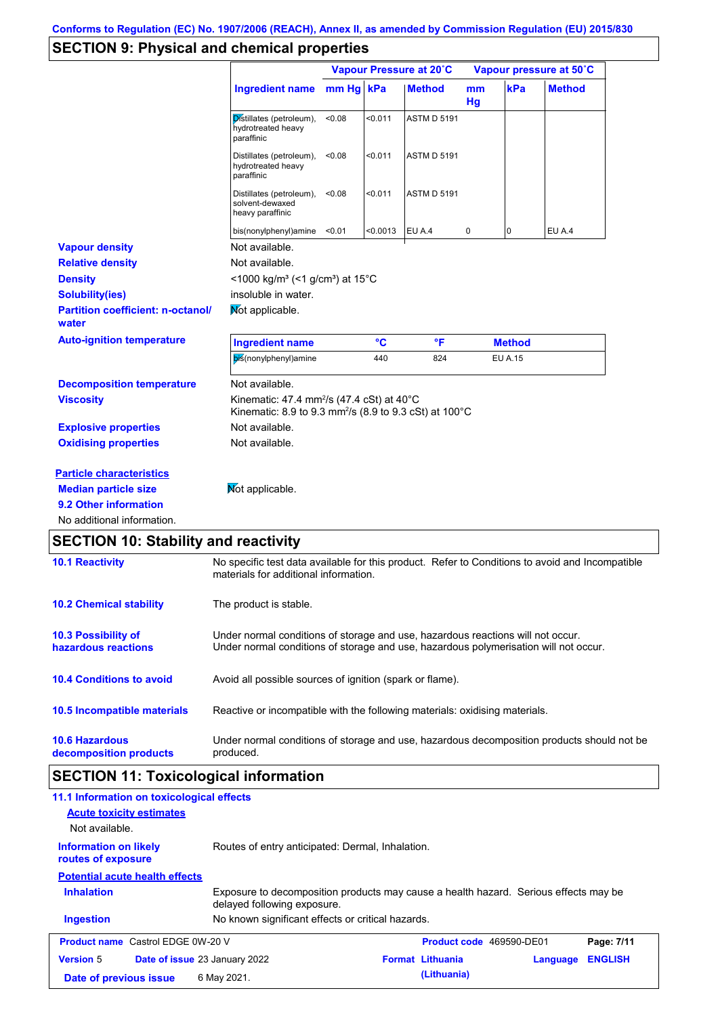# **SECTION 9: Physical and chemical properties**

|                                                                                                                       |                                                                                                                                                                         | Vapour Pressure at 20°C |          |                    | Vapour pressure at 50°C |                |               |
|-----------------------------------------------------------------------------------------------------------------------|-------------------------------------------------------------------------------------------------------------------------------------------------------------------------|-------------------------|----------|--------------------|-------------------------|----------------|---------------|
|                                                                                                                       | <b>Ingredient name</b>                                                                                                                                                  | mm Hg kPa               |          | <b>Method</b>      | mm<br>Hg                | kPa            | <b>Method</b> |
|                                                                                                                       | Distillates (petroleum),<br>hydrotreated heavy<br>paraffinic                                                                                                            | < 0.08                  | < 0.011  | <b>ASTM D 5191</b> |                         |                |               |
|                                                                                                                       | Distillates (petroleum),<br>hydrotreated heavy<br>paraffinic                                                                                                            | < 0.08                  | < 0.011  | <b>ASTM D 5191</b> |                         |                |               |
|                                                                                                                       | Distillates (petroleum),<br>solvent-dewaxed<br>heavy paraffinic                                                                                                         | < 0.08                  | < 0.011  | <b>ASTM D 5191</b> |                         |                |               |
|                                                                                                                       | bis(nonylphenyl)amine                                                                                                                                                   | < 0.01                  | < 0.0013 | EU A.4             | 0                       | 0              | <b>EU A.4</b> |
| <b>Vapour density</b>                                                                                                 | Not available.                                                                                                                                                          |                         |          |                    |                         |                |               |
| <b>Relative density</b>                                                                                               | Not available.                                                                                                                                                          |                         |          |                    |                         |                |               |
| <b>Density</b>                                                                                                        | $\leq$ 1000 kg/m <sup>3</sup> (<1 g/cm <sup>3</sup> ) at 15°C                                                                                                           |                         |          |                    |                         |                |               |
| <b>Solubility(ies)</b>                                                                                                | insoluble in water.                                                                                                                                                     |                         |          |                    |                         |                |               |
| <b>Partition coefficient: n-octanol/</b><br>water                                                                     | Mot applicable.                                                                                                                                                         |                         |          |                    |                         |                |               |
| <b>Auto-ignition temperature</b>                                                                                      | <b>Ingredient name</b>                                                                                                                                                  |                         | °C       | °F                 |                         | <b>Method</b>  |               |
|                                                                                                                       | bis(nonylphenyl)amine                                                                                                                                                   |                         | 440      | 824                |                         | <b>EU A.15</b> |               |
| <b>Decomposition temperature</b>                                                                                      | Not available.                                                                                                                                                          |                         |          |                    |                         |                |               |
| <b>Viscosity</b>                                                                                                      | Kinematic: 47.4 mm <sup>2</sup> /s (47.4 cSt) at 40°C<br>Kinematic: 8.9 to 9.3 mm <sup>2</sup> /s (8.9 to 9.3 cSt) at 100°C                                             |                         |          |                    |                         |                |               |
| <b>Explosive properties</b>                                                                                           | Not available.                                                                                                                                                          |                         |          |                    |                         |                |               |
| <b>Oxidising properties</b>                                                                                           | Not available.                                                                                                                                                          |                         |          |                    |                         |                |               |
| <b>Particle characteristics</b><br><b>Median particle size</b><br>9.2 Other information<br>No additional information. | Mot applicable.                                                                                                                                                         |                         |          |                    |                         |                |               |
| <b>SECTION 10: Stability and reactivity</b>                                                                           |                                                                                                                                                                         |                         |          |                    |                         |                |               |
| <b>10.1 Reactivity</b>                                                                                                | No specific test data available for this product. Refer to Conditions to avoid and Incompatible<br>materials for additional information.                                |                         |          |                    |                         |                |               |
| <b>10.2 Chemical stability</b>                                                                                        | The product is stable.                                                                                                                                                  |                         |          |                    |                         |                |               |
| <b>10.3 Possibility of</b><br>hazardous reactions                                                                     | Under normal conditions of storage and use, hazardous reactions will not occur.<br>Under normal conditions of storage and use, hazardous polymerisation will not occur. |                         |          |                    |                         |                |               |
| <b>10.4 Conditions to avoid</b>                                                                                       | Avoid all possible sources of ignition (spark or flame).                                                                                                                |                         |          |                    |                         |                |               |

**10.6 Hazardous decomposition products** Under normal conditions of storage and use, hazardous decomposition products should not be produced. **10.5 Incompatible materials** Reactive or incompatible with the following materials: oxidising materials.

# **SECTION 11: Toxicological information**

| 11.1 Information on toxicological effects          |                                                                                                                     |                          |          |                |
|----------------------------------------------------|---------------------------------------------------------------------------------------------------------------------|--------------------------|----------|----------------|
| <b>Acute toxicity estimates</b>                    |                                                                                                                     |                          |          |                |
| Not available.                                     |                                                                                                                     |                          |          |                |
| <b>Information on likely</b><br>routes of exposure | Routes of entry anticipated: Dermal, Inhalation.                                                                    |                          |          |                |
| <b>Potential acute health effects</b>              |                                                                                                                     |                          |          |                |
| <b>Inhalation</b>                                  | Exposure to decomposition products may cause a health hazard. Serious effects may be<br>delayed following exposure. |                          |          |                |
| <b>Ingestion</b>                                   | No known significant effects or critical hazards.                                                                   |                          |          |                |
| <b>Product name</b> Castrol EDGE 0W-20 V           |                                                                                                                     | Product code 469590-DE01 |          | Page: 7/11     |
| <b>Version 5</b>                                   | Date of issue 23 January 2022                                                                                       | <b>Format Lithuania</b>  | Language | <b>ENGLISH</b> |
| Date of previous issue                             | 6 May 2021.                                                                                                         | (Lithuania)              |          |                |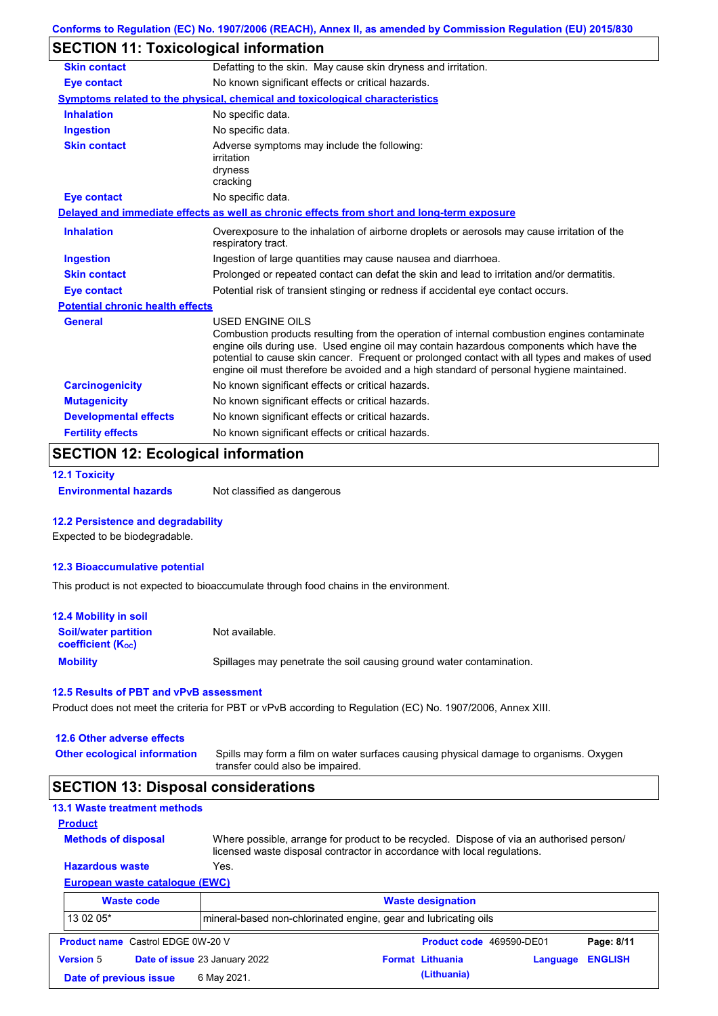## **SECTION 11: Toxicological information**

| <b>Skin contact</b>                     | Defatting to the skin. May cause skin dryness and irritation.                                                                                                                                                                                                                                                                                                                                                   |  |  |  |
|-----------------------------------------|-----------------------------------------------------------------------------------------------------------------------------------------------------------------------------------------------------------------------------------------------------------------------------------------------------------------------------------------------------------------------------------------------------------------|--|--|--|
| <b>Eye contact</b>                      | No known significant effects or critical hazards.                                                                                                                                                                                                                                                                                                                                                               |  |  |  |
|                                         | Symptoms related to the physical, chemical and toxicological characteristics                                                                                                                                                                                                                                                                                                                                    |  |  |  |
| <b>Inhalation</b>                       | No specific data.                                                                                                                                                                                                                                                                                                                                                                                               |  |  |  |
| <b>Ingestion</b>                        | No specific data.                                                                                                                                                                                                                                                                                                                                                                                               |  |  |  |
| <b>Skin contact</b>                     | Adverse symptoms may include the following:<br>irritation<br>dryness<br>cracking                                                                                                                                                                                                                                                                                                                                |  |  |  |
| <b>Eye contact</b>                      | No specific data.                                                                                                                                                                                                                                                                                                                                                                                               |  |  |  |
|                                         | Delayed and immediate effects as well as chronic effects from short and long-term exposure                                                                                                                                                                                                                                                                                                                      |  |  |  |
| <b>Inhalation</b>                       | Overexposure to the inhalation of airborne droplets or aerosols may cause irritation of the<br>respiratory tract.                                                                                                                                                                                                                                                                                               |  |  |  |
| <b>Ingestion</b>                        | Ingestion of large quantities may cause nausea and diarrhoea.                                                                                                                                                                                                                                                                                                                                                   |  |  |  |
| <b>Skin contact</b>                     | Prolonged or repeated contact can defat the skin and lead to irritation and/or dermatitis.                                                                                                                                                                                                                                                                                                                      |  |  |  |
| <b>Eye contact</b>                      | Potential risk of transient stinging or redness if accidental eye contact occurs.                                                                                                                                                                                                                                                                                                                               |  |  |  |
| <b>Potential chronic health effects</b> |                                                                                                                                                                                                                                                                                                                                                                                                                 |  |  |  |
| <b>General</b>                          | <b>USED ENGINE OILS</b><br>Combustion products resulting from the operation of internal combustion engines contaminate<br>engine oils during use. Used engine oil may contain hazardous components which have the<br>potential to cause skin cancer. Frequent or prolonged contact with all types and makes of used<br>engine oil must therefore be avoided and a high standard of personal hygiene maintained. |  |  |  |
| <b>Carcinogenicity</b>                  | No known significant effects or critical hazards.                                                                                                                                                                                                                                                                                                                                                               |  |  |  |
| <b>Mutagenicity</b>                     | No known significant effects or critical hazards.                                                                                                                                                                                                                                                                                                                                                               |  |  |  |
| <b>Developmental effects</b>            | No known significant effects or critical hazards.                                                                                                                                                                                                                                                                                                                                                               |  |  |  |
| <b>Fertility effects</b>                | No known significant effects or critical hazards.                                                                                                                                                                                                                                                                                                                                                               |  |  |  |
|                                         |                                                                                                                                                                                                                                                                                                                                                                                                                 |  |  |  |

## **SECTION 12: Ecological information**

```
12.1 Toxicity
```
**Environmental hazards** Not classified as dangerous

### **12.2 Persistence and degradability**

Expected to be biodegradable.

### **12.3 Bioaccumulative potential**

This product is not expected to bioaccumulate through food chains in the environment.

| <b>12.4 Mobility in soil</b>                                  |                                                                      |
|---------------------------------------------------------------|----------------------------------------------------------------------|
| <b>Soil/water partition</b><br>coefficient (K <sub>oc</sub> ) | Not available.                                                       |
| <b>Mobility</b>                                               | Spillages may penetrate the soil causing ground water contamination. |

### **12.5 Results of PBT and vPvB assessment**

Product does not meet the criteria for PBT or vPvB according to Regulation (EC) No. 1907/2006, Annex XIII.

#### **12.6 Other adverse effects**

**Other ecological information**

Spills may form a film on water surfaces causing physical damage to organisms. Oxygen transfer could also be impaired.

### **SECTION 13: Disposal considerations**

### **13.1 Waste treatment methods**

**Methods of disposal**

**Product**

Where possible, arrange for product to be recycled. Dispose of via an authorised person/ licensed waste disposal contractor in accordance with local regulations.

### **European waste catalogue (EWC) Hazardous waste** Yes.

|                  | <b>Waste code</b>                        | <b>Waste designation</b><br>Imineral-based non-chlorinated engine, gear and lubricating oils |  |                          |          |                |
|------------------|------------------------------------------|----------------------------------------------------------------------------------------------|--|--------------------------|----------|----------------|
| 13 02 05*        |                                          |                                                                                              |  |                          |          |                |
|                  | <b>Product name</b> Castrol EDGE 0W-20 V |                                                                                              |  | Product code 469590-DE01 |          | Page: 8/11     |
| <b>Version 5</b> |                                          | Date of issue 23 January 2022                                                                |  | <b>Format Lithuania</b>  | Language | <b>ENGLISH</b> |
|                  | Date of previous issue                   | 6 May 2021.                                                                                  |  | (Lithuania)              |          |                |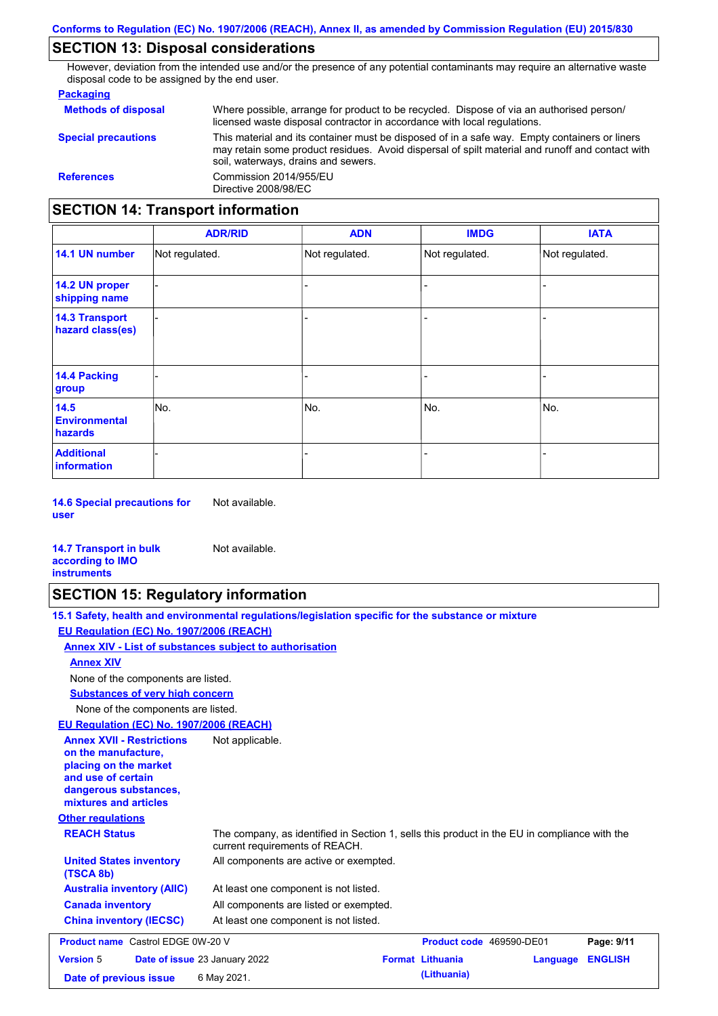## **SECTION 13: Disposal considerations**

However, deviation from the intended use and/or the presence of any potential contaminants may require an alternative waste disposal code to be assigned by the end user.

### **Packaging**

| <b>Methods of disposal</b>               | Where possible, arrange for product to be recycled. Dispose of via an authorised person/<br>licensed waste disposal contractor in accordance with local regulations.                                                                    |
|------------------------------------------|-----------------------------------------------------------------------------------------------------------------------------------------------------------------------------------------------------------------------------------------|
| <b>Special precautions</b>               | This material and its container must be disposed of in a safe way. Empty containers or liners<br>may retain some product residues. Avoid dispersal of spilt material and runoff and contact with<br>soil, waterways, drains and sewers. |
| <b>References</b>                        | Commission 2014/955/EU<br>Directive 2008/98/EC                                                                                                                                                                                          |
| <b>SECTION 14: Transport information</b> |                                                                                                                                                                                                                                         |

#### - - - - - - - - - Not regulated. Not regulated. Not regulated. - - - **ADR/RID IMDG IATA 14.1 UN number 14.2 UN proper shipping name 14.3 Transport hazard class(es) 14.4 Packing group ADN Additional information 14.5 Environmental hazards** No. 1980 | No. 1980 | No. 1980 | No. 1980 | No. 1980 | No. 1980 | No. 1980 | No. 1980 | No. 1980 | No. 1980 | Not regulated. - No. - -

**14.6 Special precautions for user** Not available.

#### **14.7 Transport in bulk according to IMO instruments**

# **SECTION 15: Regulatory information**

Not available.

|                                                                                                                                                          | 15.1 Safety, health and environmental regulations/legislation specific for the substance or mixture                            |                          |          |                |
|----------------------------------------------------------------------------------------------------------------------------------------------------------|--------------------------------------------------------------------------------------------------------------------------------|--------------------------|----------|----------------|
| EU Regulation (EC) No. 1907/2006 (REACH)                                                                                                                 |                                                                                                                                |                          |          |                |
| Annex XIV - List of substances subject to authorisation                                                                                                  |                                                                                                                                |                          |          |                |
| <b>Annex XIV</b>                                                                                                                                         |                                                                                                                                |                          |          |                |
| None of the components are listed.                                                                                                                       |                                                                                                                                |                          |          |                |
| <b>Substances of very high concern</b>                                                                                                                   |                                                                                                                                |                          |          |                |
| None of the components are listed.                                                                                                                       |                                                                                                                                |                          |          |                |
| EU Regulation (EC) No. 1907/2006 (REACH)                                                                                                                 |                                                                                                                                |                          |          |                |
| <b>Annex XVII - Restrictions</b><br>on the manufacture.<br>placing on the market<br>and use of certain<br>dangerous substances,<br>mixtures and articles | Not applicable.                                                                                                                |                          |          |                |
| <b>Other regulations</b>                                                                                                                                 |                                                                                                                                |                          |          |                |
| <b>REACH Status</b>                                                                                                                                      | The company, as identified in Section 1, sells this product in the EU in compliance with the<br>current requirements of REACH. |                          |          |                |
| <b>United States inventory</b><br>(TSCA 8b)                                                                                                              | All components are active or exempted.                                                                                         |                          |          |                |
| <b>Australia inventory (AIIC)</b>                                                                                                                        | At least one component is not listed.                                                                                          |                          |          |                |
| <b>Canada inventory</b>                                                                                                                                  | All components are listed or exempted.                                                                                         |                          |          |                |
| <b>China inventory (IECSC)</b>                                                                                                                           | At least one component is not listed.                                                                                          |                          |          |                |
| <b>Product name</b> Castrol EDGE 0W-20 V                                                                                                                 |                                                                                                                                | Product code 469590-DE01 |          | Page: 9/11     |
| <b>Version 5</b>                                                                                                                                         | Date of issue 23 January 2022                                                                                                  | <b>Format Lithuania</b>  | Language | <b>ENGLISH</b> |
| Date of previous issue                                                                                                                                   | 6 May 2021.                                                                                                                    | (Lithuania)              |          |                |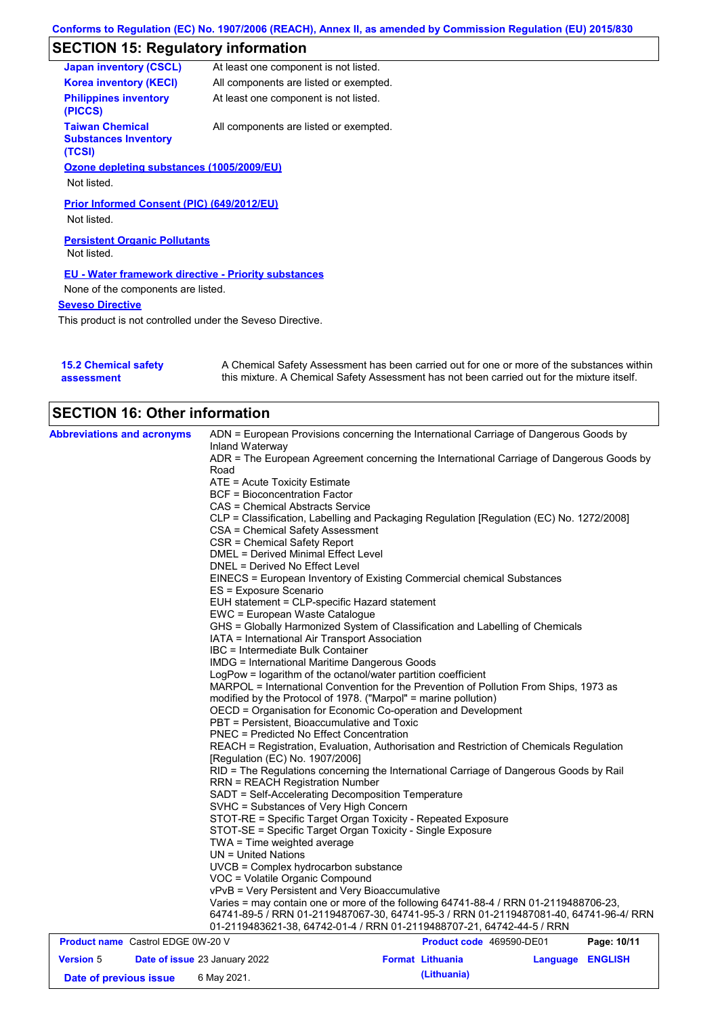# **SECTION 15: Regulatory information**

| <b>Japan inventory (CSCL)</b>                                   | At least one component is not listed.  |
|-----------------------------------------------------------------|----------------------------------------|
| <b>Korea inventory (KECI)</b>                                   | All components are listed or exempted. |
| <b>Philippines inventory</b><br>(PICCS)                         | At least one component is not listed.  |
| <b>Taiwan Chemical</b><br><b>Substances Inventory</b><br>(TCSI) | All components are listed or exempted. |
| Ozone depleting substances (1005/2009/EU)                       |                                        |
| Not listed.                                                     |                                        |
| Prior Informed Consent (PIC) (649/2012/EU)<br>Not listed.       |                                        |
| <b>Persistent Organic Pollutants</b>                            |                                        |
| Not listed.                                                     |                                        |
| <b>EU - Water framework directive - Priority substances</b>     |                                        |
| None of the components are listed.                              |                                        |
| <b>Seveso Directive</b>                                         |                                        |
| This product is not controlled under the Seveso Directive.      |                                        |

| <b>15.2 Chemical safety</b> | A Chemical Safety Assessment has been carried out for one or more of the substances within  |
|-----------------------------|---------------------------------------------------------------------------------------------|
| assessment                  | this mixture. A Chemical Safety Assessment has not been carried out for the mixture itself. |

| <b>SECTION 16: Other information</b>     |                                                                                                                                                          |                          |          |                |  |  |
|------------------------------------------|----------------------------------------------------------------------------------------------------------------------------------------------------------|--------------------------|----------|----------------|--|--|
| <b>Abbreviations and acronyms</b>        | ADN = European Provisions concerning the International Carriage of Dangerous Goods by                                                                    |                          |          |                |  |  |
|                                          | Inland Waterway                                                                                                                                          |                          |          |                |  |  |
|                                          | ADR = The European Agreement concerning the International Carriage of Dangerous Goods by                                                                 |                          |          |                |  |  |
|                                          | Road                                                                                                                                                     |                          |          |                |  |  |
|                                          | ATE = Acute Toxicity Estimate                                                                                                                            |                          |          |                |  |  |
|                                          | BCF = Bioconcentration Factor                                                                                                                            |                          |          |                |  |  |
|                                          | CAS = Chemical Abstracts Service                                                                                                                         |                          |          |                |  |  |
|                                          | CLP = Classification, Labelling and Packaging Regulation [Regulation (EC) No. 1272/2008]                                                                 |                          |          |                |  |  |
|                                          | CSA = Chemical Safety Assessment                                                                                                                         |                          |          |                |  |  |
|                                          | CSR = Chemical Safety Report                                                                                                                             |                          |          |                |  |  |
|                                          | <b>DMEL = Derived Minimal Effect Level</b>                                                                                                               |                          |          |                |  |  |
|                                          | DNEL = Derived No Effect Level                                                                                                                           |                          |          |                |  |  |
|                                          | EINECS = European Inventory of Existing Commercial chemical Substances                                                                                   |                          |          |                |  |  |
|                                          | ES = Exposure Scenario                                                                                                                                   |                          |          |                |  |  |
|                                          | EUH statement = CLP-specific Hazard statement                                                                                                            |                          |          |                |  |  |
|                                          | EWC = European Waste Catalogue                                                                                                                           |                          |          |                |  |  |
|                                          | GHS = Globally Harmonized System of Classification and Labelling of Chemicals                                                                            |                          |          |                |  |  |
|                                          | IATA = International Air Transport Association                                                                                                           |                          |          |                |  |  |
|                                          | IBC = Intermediate Bulk Container                                                                                                                        |                          |          |                |  |  |
|                                          | IMDG = International Maritime Dangerous Goods                                                                                                            |                          |          |                |  |  |
|                                          |                                                                                                                                                          |                          |          |                |  |  |
|                                          | LogPow = logarithm of the octanol/water partition coefficient                                                                                            |                          |          |                |  |  |
|                                          | MARPOL = International Convention for the Prevention of Pollution From Ships, 1973 as<br>modified by the Protocol of 1978. ("Marpol" = marine pollution) |                          |          |                |  |  |
|                                          |                                                                                                                                                          |                          |          |                |  |  |
|                                          | OECD = Organisation for Economic Co-operation and Development                                                                                            |                          |          |                |  |  |
|                                          | PBT = Persistent, Bioaccumulative and Toxic                                                                                                              |                          |          |                |  |  |
|                                          | <b>PNEC = Predicted No Effect Concentration</b>                                                                                                          |                          |          |                |  |  |
|                                          | REACH = Registration, Evaluation, Authorisation and Restriction of Chemicals Regulation<br>[Regulation (EC) No. 1907/2006]                               |                          |          |                |  |  |
|                                          | RID = The Regulations concerning the International Carriage of Dangerous Goods by Rail                                                                   |                          |          |                |  |  |
|                                          | <b>RRN = REACH Registration Number</b>                                                                                                                   |                          |          |                |  |  |
|                                          | SADT = Self-Accelerating Decomposition Temperature                                                                                                       |                          |          |                |  |  |
|                                          | SVHC = Substances of Very High Concern                                                                                                                   |                          |          |                |  |  |
|                                          | STOT-RE = Specific Target Organ Toxicity - Repeated Exposure                                                                                             |                          |          |                |  |  |
|                                          | STOT-SE = Specific Target Organ Toxicity - Single Exposure                                                                                               |                          |          |                |  |  |
|                                          | TWA = Time weighted average                                                                                                                              |                          |          |                |  |  |
|                                          | $UN = United Nations$                                                                                                                                    |                          |          |                |  |  |
|                                          | UVCB = Complex hydrocarbon substance                                                                                                                     |                          |          |                |  |  |
|                                          | VOC = Volatile Organic Compound                                                                                                                          |                          |          |                |  |  |
|                                          |                                                                                                                                                          |                          |          |                |  |  |
|                                          | vPvB = Very Persistent and Very Bioaccumulative                                                                                                          |                          |          |                |  |  |
|                                          | Varies = may contain one or more of the following 64741-88-4 / RRN 01-2119488706-23,                                                                     |                          |          |                |  |  |
|                                          | 64741-89-5 / RRN 01-2119487067-30, 64741-95-3 / RRN 01-2119487081-40, 64741-96-4/ RRN                                                                    |                          |          |                |  |  |
| <b>Product name</b> Castrol EDGE 0W-20 V | 01-2119483621-38, 64742-01-4 / RRN 01-2119488707-21, 64742-44-5 / RRN                                                                                    |                          |          |                |  |  |
|                                          |                                                                                                                                                          | Product code 469590-DE01 |          | Page: 10/11    |  |  |
| <b>Version 5</b>                         | Date of issue 23 January 2022                                                                                                                            | <b>Format Lithuania</b>  | Language | <b>ENGLISH</b> |  |  |
| Date of previous issue                   | 6 May 2021.                                                                                                                                              | (Lithuania)              |          |                |  |  |